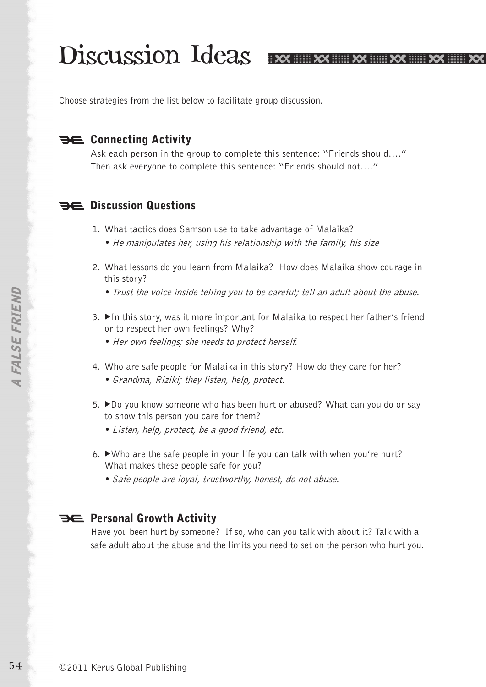# Discussion Ideas Ex Ex Ex Ex Ex Ex Ex

Choose strategies from the list below to facilitate group discussion.

### **BE Connecting Activity**

Ask each person in the group to complete this sentence: "Friends should…." Then ask everyone to complete this sentence: "Friends should not…."

#### **Discussion Questions**

- 1. What tactics does Samson use to take advantage of Malaika? • He manipulates her, using his relationship with the family, his size
	-
- 2. What lessons do you learn from Malaika? How does Malaika show courage in this story?
	- Trust the voice inside telling you to be careful; tell an adult about the abuse.
- 3. ► In this story, was it more important for Malaika to respect her father's friend or to respect her own feelings? Why?
	- Her own feelings; she needs to protect herself.
- 4. Who are safe people for Malaika in this story? How do they care for her? •Grandma, Riziki; they listen, help, protect.
- 5. ►Do you know someone who has been hurt or abused? What can you do or say to show this person you care for them?
	- Listen, help, protect, be a good friend, etc.
- 6. Who are the safe people in your life you can talk with when you're hurt? What makes these people safe for you?
	- Safe people are loyal, trustworthy, honest, do not abuse.

#### **PE Personal Growth Activity**

Have you been hurt by someone? If so, who can you talk with about it? Talk with a safe adult about the abuse and the limits you need to set on the person who hurt you.